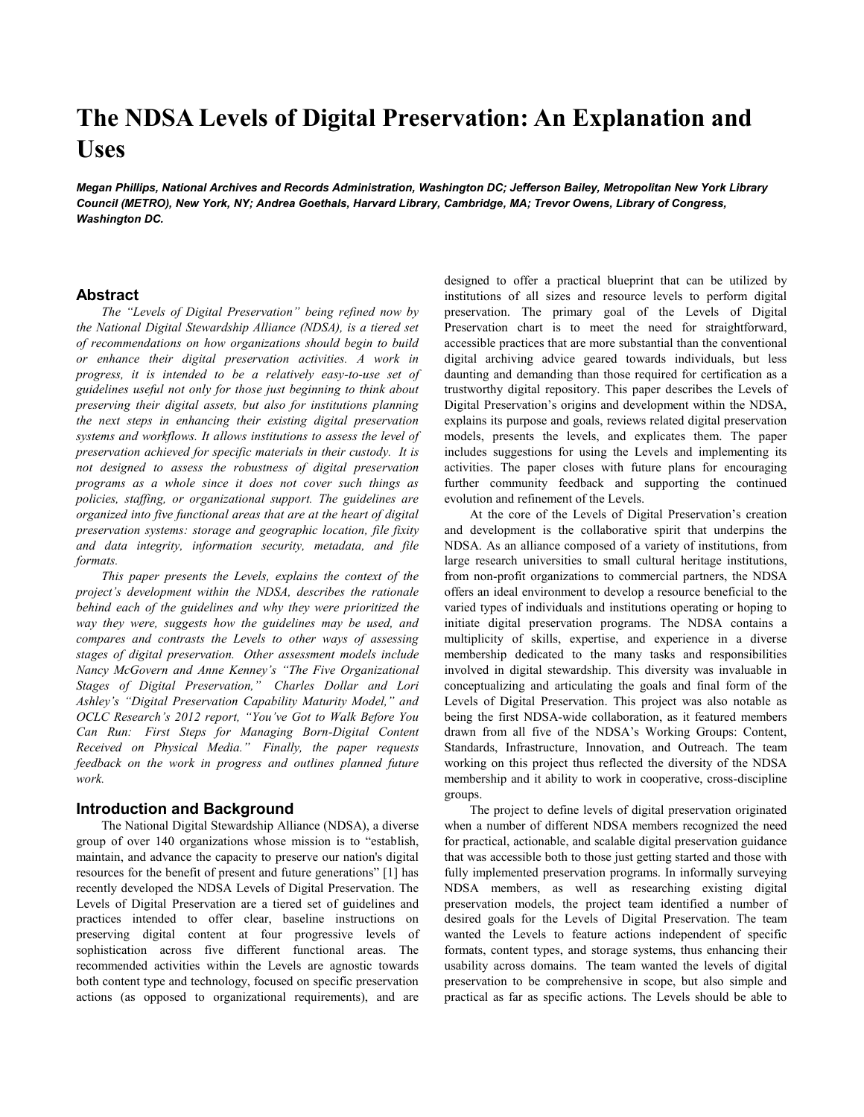# **The NDSA Levels of Digital Preservation: An Explanation and Uses**

*Megan Phillips, National Archives and Records Administration, Washington DC; Jefferson Bailey, Metropolitan New York Library Council (METRO), New York, NY; Andrea Goethals, Harvard Library, Cambridge, MA; Trevor Owens, Library of Congress, Washington DC.*

### **Abstract**

*The "Levels of Digital Preservation" being refined now by the National Digital Stewardship Alliance (NDSA), is a tiered set of recommendations on how organizations should begin to build or enhance their digital preservation activities. A work in progress, it is intended to be a relatively easy-to-use set of guidelines useful not only for those just beginning to think about preserving their digital assets, but also for institutions planning the next steps in enhancing their existing digital preservation systems and workflows. It allows institutions to assess the level of preservation achieved for specific materials in their custody. It is not designed to assess the robustness of digital preservation programs as a whole since it does not cover such things as policies, staffing, or organizational support. The guidelines are organized into five functional areas that are at the heart of digital preservation systems: storage and geographic location, file fixity and data integrity, information security, metadata, and file formats.*

*This paper presents the Levels, explains the context of the project's development within the NDSA, describes the rationale behind each of the guidelines and why they were prioritized the way they were, suggests how the guidelines may be used, and compares and contrasts the Levels to other ways of assessing stages of digital preservation. Other assessment models include Nancy McGovern and Anne Kenney's "The Five Organizational Stages of Digital Preservation," Charles Dollar and Lori Ashley's "Digital Preservation Capability Maturity Model," and OCLC Research's 2012 report, "You've Got to Walk Before You Can Run: First Steps for Managing Born-Digital Content Received on Physical Media." Finally, the paper requests feedback on the work in progress and outlines planned future work.*

## **Introduction and Background**

The National Digital Stewardship Alliance (NDSA), a diverse group of over 140 organizations whose mission is to "establish, maintain, and advance the capacity to preserve our nation's digital resources for the benefit of present and future generations" [1] has recently developed the NDSA Levels of Digital Preservation. The Levels of Digital Preservation are a tiered set of guidelines and practices intended to offer clear, baseline instructions on preserving digital content at four progressive levels of sophistication across five different functional areas. The recommended activities within the Levels are agnostic towards both content type and technology, focused on specific preservation actions (as opposed to organizational requirements), and are designed to offer a practical blueprint that can be utilized by institutions of all sizes and resource levels to perform digital preservation. The primary goal of the Levels of Digital Preservation chart is to meet the need for straightforward, accessible practices that are more substantial than the conventional digital archiving advice geared towards individuals, but less daunting and demanding than those required for certification as a trustworthy digital repository. This paper describes the Levels of Digital Preservation"s origins and development within the NDSA, explains its purpose and goals, reviews related digital preservation models, presents the levels, and explicates them. The paper includes suggestions for using the Levels and implementing its activities. The paper closes with future plans for encouraging further community feedback and supporting the continued evolution and refinement of the Levels.

At the core of the Levels of Digital Preservation"s creation and development is the collaborative spirit that underpins the NDSA. As an alliance composed of a variety of institutions, from large research universities to small cultural heritage institutions, from non-profit organizations to commercial partners, the NDSA offers an ideal environment to develop a resource beneficial to the varied types of individuals and institutions operating or hoping to initiate digital preservation programs. The NDSA contains a multiplicity of skills, expertise, and experience in a diverse membership dedicated to the many tasks and responsibilities involved in digital stewardship. This diversity was invaluable in conceptualizing and articulating the goals and final form of the Levels of Digital Preservation. This project was also notable as being the first NDSA-wide collaboration, as it featured members drawn from all five of the NDSA"s Working Groups: Content, Standards, Infrastructure, Innovation, and Outreach. The team working on this project thus reflected the diversity of the NDSA membership and it ability to work in cooperative, cross-discipline groups.

The project to define levels of digital preservation originated when a number of different NDSA members recognized the need for practical, actionable, and scalable digital preservation guidance that was accessible both to those just getting started and those with fully implemented preservation programs. In informally surveying NDSA members, as well as researching existing digital preservation models, the project team identified a number of desired goals for the Levels of Digital Preservation. The team wanted the Levels to feature actions independent of specific formats, content types, and storage systems, thus enhancing their usability across domains. The team wanted the levels of digital preservation to be comprehensive in scope, but also simple and practical as far as specific actions. The Levels should be able to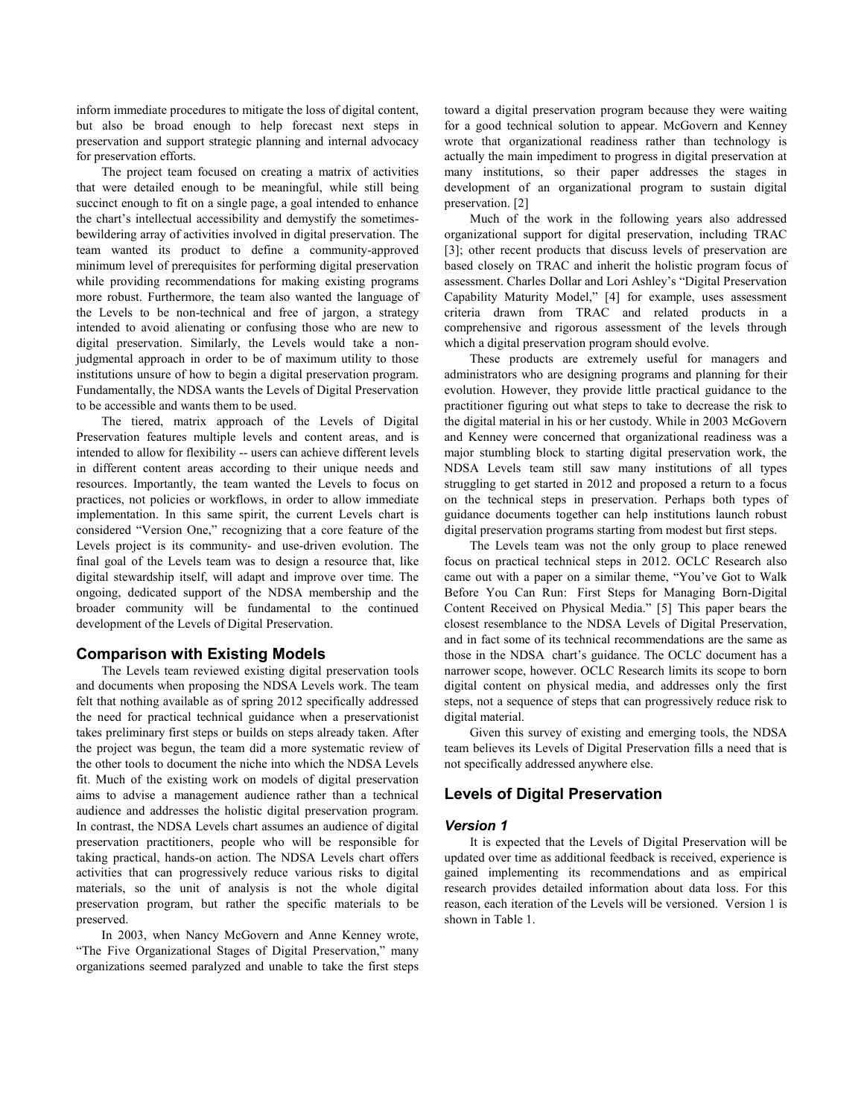inform immediate procedures to mitigate the loss of digital content, but also be broad enough to help forecast next steps in preservation and support strategic planning and internal advocacy for preservation efforts.

The project team focused on creating a matrix of activities that were detailed enough to be meaningful, while still being succinct enough to fit on a single page, a goal intended to enhance the chart"s intellectual accessibility and demystify the sometimesbewildering array of activities involved in digital preservation. The team wanted its product to define a community-approved minimum level of prerequisites for performing digital preservation while providing recommendations for making existing programs more robust. Furthermore, the team also wanted the language of the Levels to be non-technical and free of jargon, a strategy intended to avoid alienating or confusing those who are new to digital preservation. Similarly, the Levels would take a nonjudgmental approach in order to be of maximum utility to those institutions unsure of how to begin a digital preservation program. Fundamentally, the NDSA wants the Levels of Digital Preservation to be accessible and wants them to be used.

The tiered, matrix approach of the Levels of Digital Preservation features multiple levels and content areas, and is intended to allow for flexibility -- users can achieve different levels in different content areas according to their unique needs and resources. Importantly, the team wanted the Levels to focus on practices, not policies or workflows, in order to allow immediate implementation. In this same spirit, the current Levels chart is considered "Version One," recognizing that a core feature of the Levels project is its community- and use-driven evolution. The final goal of the Levels team was to design a resource that, like digital stewardship itself, will adapt and improve over time. The ongoing, dedicated support of the NDSA membership and the broader community will be fundamental to the continued development of the Levels of Digital Preservation.

#### **Comparison with Existing Models**

The Levels team reviewed existing digital preservation tools and documents when proposing the NDSA Levels work. The team felt that nothing available as of spring 2012 specifically addressed the need for practical technical guidance when a preservationist takes preliminary first steps or builds on steps already taken. After the project was begun, the team did a more systematic review of the other tools to document the niche into which the NDSA Levels fit. Much of the existing work on models of digital preservation aims to advise a management audience rather than a technical audience and addresses the holistic digital preservation program. In contrast, the NDSA Levels chart assumes an audience of digital preservation practitioners, people who will be responsible for taking practical, hands-on action. The NDSA Levels chart offers activities that can progressively reduce various risks to digital materials, so the unit of analysis is not the whole digital preservation program, but rather the specific materials to be preserved.

In 2003, when Nancy McGovern and Anne Kenney wrote, "The Five Organizational Stages of Digital Preservation," many organizations seemed paralyzed and unable to take the first steps toward a digital preservation program because they were waiting for a good technical solution to appear. McGovern and Kenney wrote that organizational readiness rather than technology is actually the main impediment to progress in digital preservation at many institutions, so their paper addresses the stages in development of an organizational program to sustain digital preservation. [2]

Much of the work in the following years also addressed organizational support for digital preservation, including TRAC [3]; other recent products that discuss levels of preservation are based closely on TRAC and inherit the holistic program focus of assessment. Charles Dollar and Lori Ashley"s "Digital Preservation Capability Maturity Model," [4] for example, uses assessment criteria drawn from TRAC and related products in a comprehensive and rigorous assessment of the levels through which a digital preservation program should evolve.

These products are extremely useful for managers and administrators who are designing programs and planning for their evolution. However, they provide little practical guidance to the practitioner figuring out what steps to take to decrease the risk to the digital material in his or her custody. While in 2003 McGovern and Kenney were concerned that organizational readiness was a major stumbling block to starting digital preservation work, the NDSA Levels team still saw many institutions of all types struggling to get started in 2012 and proposed a return to a focus on the technical steps in preservation. Perhaps both types of guidance documents together can help institutions launch robust digital preservation programs starting from modest but first steps.

The Levels team was not the only group to place renewed focus on practical technical steps in 2012. OCLC Research also came out with a paper on a similar theme, "You"ve Got to Walk Before You Can Run: First Steps for Managing Born-Digital Content Received on Physical Media." [5] This paper bears the closest resemblance to the NDSA Levels of Digital Preservation, and in fact some of its technical recommendations are the same as those in the NDSA chart"s guidance. The OCLC document has a narrower scope, however. OCLC Research limits its scope to born digital content on physical media, and addresses only the first steps, not a sequence of steps that can progressively reduce risk to digital material.

Given this survey of existing and emerging tools, the NDSA team believes its Levels of Digital Preservation fills a need that is not specifically addressed anywhere else.

## **Levels of Digital Preservation**

#### *Version 1*

It is expected that the Levels of Digital Preservation will be updated over time as additional feedback is received, experience is gained implementing its recommendations and as empirical research provides detailed information about data loss. For this reason, each iteration of the Levels will be versioned. Version 1 is shown in Table 1.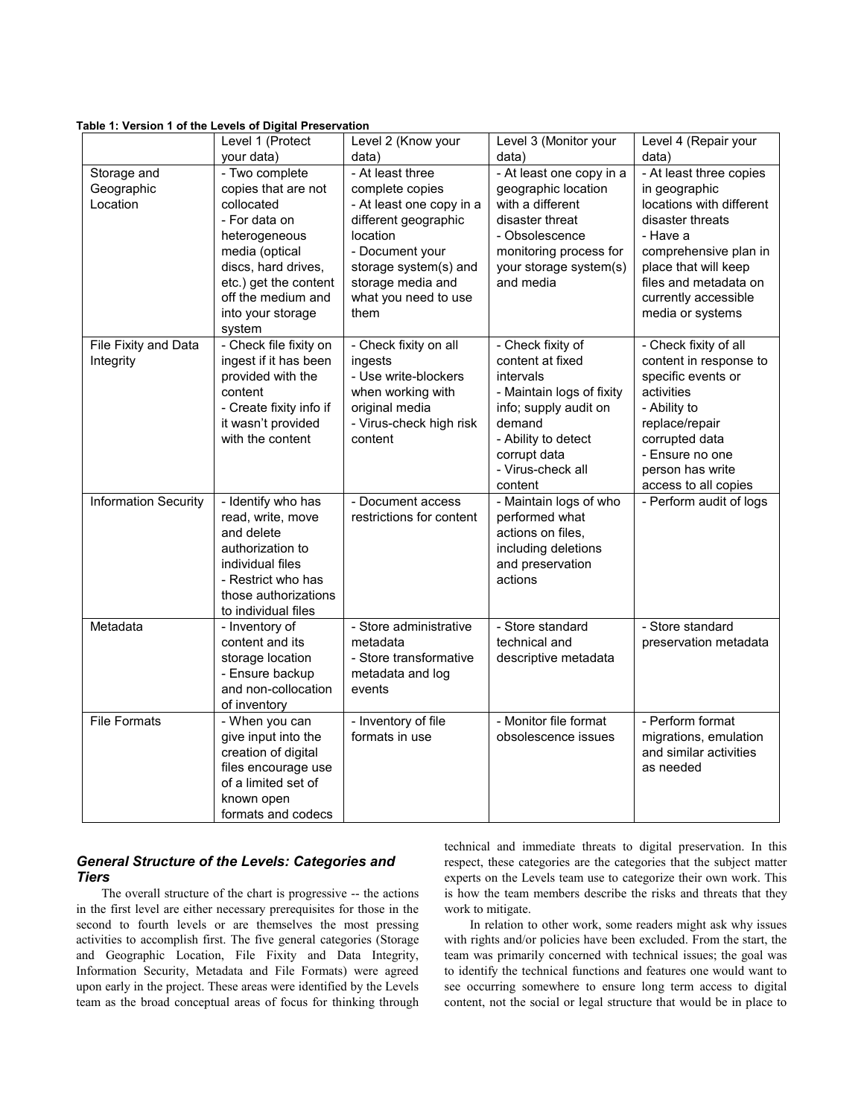|  |  |  |  |  |  |  | Table 1: Version 1 of the Levels of Digital Preservation |
|--|--|--|--|--|--|--|----------------------------------------------------------|
|--|--|--|--|--|--|--|----------------------------------------------------------|

|                             | Level 1 (Protect<br>your data)                | Level 2 (Know your<br>data)                | Level 3 (Monitor your<br>data)      | Level 4 (Repair your<br>data)                 |
|-----------------------------|-----------------------------------------------|--------------------------------------------|-------------------------------------|-----------------------------------------------|
| Storage and                 | - Two complete                                | - At least three                           | - At least one copy in a            | - At least three copies                       |
| Geographic                  | copies that are not                           | complete copies                            | geographic location                 | in geographic                                 |
| Location                    | collocated                                    | - At least one copy in a                   | with a different                    | locations with different                      |
|                             | - For data on                                 | different geographic                       | disaster threat                     | disaster threats                              |
|                             | heterogeneous                                 | location                                   | - Obsolescence                      | - Have a                                      |
|                             | media (optical                                | - Document your                            | monitoring process for              | comprehensive plan in                         |
|                             | discs, hard drives,<br>etc.) get the content  | storage system(s) and<br>storage media and | your storage system(s)<br>and media | place that will keep<br>files and metadata on |
|                             | off the medium and                            | what you need to use                       |                                     | currently accessible                          |
|                             | into your storage                             | them                                       |                                     | media or systems                              |
|                             | system                                        |                                            |                                     |                                               |
| File Fixity and Data        | - Check file fixity on                        | - Check fixity on all                      | - Check fixity of                   | - Check fixity of all                         |
| Integrity                   | ingest if it has been                         | ingests                                    | content at fixed                    | content in response to                        |
|                             | provided with the                             | - Use write-blockers                       | intervals                           | specific events or                            |
|                             | content                                       | when working with                          | - Maintain logs of fixity           | activities                                    |
|                             | - Create fixity info if<br>it wasn't provided | original media                             | info; supply audit on<br>demand     | - Ability to                                  |
|                             | with the content                              | - Virus-check high risk<br>content         | - Ability to detect                 | replace/repair<br>corrupted data              |
|                             |                                               |                                            | corrupt data                        | - Ensure no one                               |
|                             |                                               |                                            | - Virus-check all                   | person has write                              |
|                             |                                               |                                            | content                             | access to all copies                          |
| <b>Information Security</b> | - Identify who has                            | - Document access                          | - Maintain logs of who              | - Perform audit of logs                       |
|                             | read, write, move                             | restrictions for content                   | performed what                      |                                               |
|                             | and delete                                    |                                            | actions on files,                   |                                               |
|                             | authorization to                              |                                            | including deletions                 |                                               |
|                             | individual files                              |                                            | and preservation                    |                                               |
|                             | - Restrict who has                            |                                            | actions                             |                                               |
|                             | those authorizations                          |                                            |                                     |                                               |
|                             | to individual files                           |                                            |                                     |                                               |
| Metadata                    | - Inventory of<br>content and its             | - Store administrative<br>metadata         | - Store standard<br>technical and   | - Store standard<br>preservation metadata     |
|                             | storage location                              | - Store transformative                     | descriptive metadata                |                                               |
|                             | - Ensure backup                               | metadata and log                           |                                     |                                               |
|                             | and non-collocation                           | events                                     |                                     |                                               |
|                             | of inventory                                  |                                            |                                     |                                               |
| <b>File Formats</b>         | - When you can                                | - Inventory of file                        | - Monitor file format               | - Perform format                              |
|                             | give input into the                           | formats in use                             | obsolescence issues                 | migrations, emulation                         |
|                             | creation of digital                           |                                            |                                     | and similar activities                        |
|                             | files encourage use                           |                                            |                                     | as needed                                     |
|                             | of a limited set of                           |                                            |                                     |                                               |
|                             | known open                                    |                                            |                                     |                                               |
|                             | formats and codecs                            |                                            |                                     |                                               |

# *General Structure of the Levels: Categories and Tiers*

The overall structure of the chart is progressive -- the actions in the first level are either necessary prerequisites for those in the second to fourth levels or are themselves the most pressing activities to accomplish first. The five general categories (Storage and Geographic Location, File Fixity and Data Integrity, Information Security, Metadata and File Formats) were agreed upon early in the project. These areas were identified by the Levels team as the broad conceptual areas of focus for thinking through technical and immediate threats to digital preservation. In this respect, these categories are the categories that the subject matter experts on the Levels team use to categorize their own work. This is how the team members describe the risks and threats that they work to mitigate.

In relation to other work, some readers might ask why issues with rights and/or policies have been excluded. From the start, the team was primarily concerned with technical issues; the goal was to identify the technical functions and features one would want to see occurring somewhere to ensure long term access to digital content, not the social or legal structure that would be in place to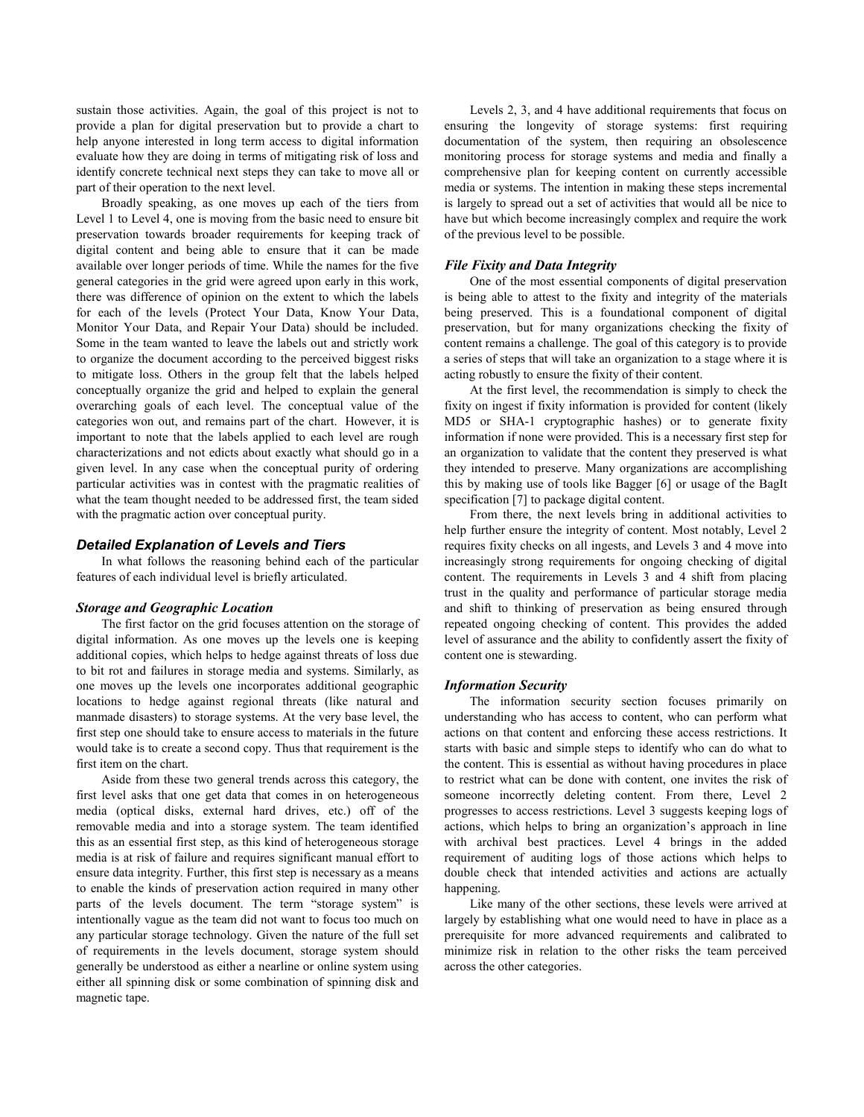sustain those activities. Again, the goal of this project is not to provide a plan for digital preservation but to provide a chart to help anyone interested in long term access to digital information evaluate how they are doing in terms of mitigating risk of loss and identify concrete technical next steps they can take to move all or part of their operation to the next level.

Broadly speaking, as one moves up each of the tiers from Level 1 to Level 4, one is moving from the basic need to ensure bit preservation towards broader requirements for keeping track of digital content and being able to ensure that it can be made available over longer periods of time. While the names for the five general categories in the grid were agreed upon early in this work, there was difference of opinion on the extent to which the labels for each of the levels (Protect Your Data, Know Your Data, Monitor Your Data, and Repair Your Data) should be included. Some in the team wanted to leave the labels out and strictly work to organize the document according to the perceived biggest risks to mitigate loss. Others in the group felt that the labels helped conceptually organize the grid and helped to explain the general overarching goals of each level. The conceptual value of the categories won out, and remains part of the chart. However, it is important to note that the labels applied to each level are rough characterizations and not edicts about exactly what should go in a given level. In any case when the conceptual purity of ordering particular activities was in contest with the pragmatic realities of what the team thought needed to be addressed first, the team sided with the pragmatic action over conceptual purity.

## *Detailed Explanation of Levels and Tiers*

In what follows the reasoning behind each of the particular features of each individual level is briefly articulated.

#### *Storage and Geographic Location*

The first factor on the grid focuses attention on the storage of digital information. As one moves up the levels one is keeping additional copies, which helps to hedge against threats of loss due to bit rot and failures in storage media and systems. Similarly, as one moves up the levels one incorporates additional geographic locations to hedge against regional threats (like natural and manmade disasters) to storage systems. At the very base level, the first step one should take to ensure access to materials in the future would take is to create a second copy. Thus that requirement is the first item on the chart.

Aside from these two general trends across this category, the first level asks that one get data that comes in on heterogeneous media (optical disks, external hard drives, etc.) off of the removable media and into a storage system. The team identified this as an essential first step, as this kind of heterogeneous storage media is at risk of failure and requires significant manual effort to ensure data integrity. Further, this first step is necessary as a means to enable the kinds of preservation action required in many other parts of the levels document. The term "storage system" is intentionally vague as the team did not want to focus too much on any particular storage technology. Given the nature of the full set of requirements in the levels document, storage system should generally be understood as either a nearline or online system using either all spinning disk or some combination of spinning disk and magnetic tape.

Levels 2, 3, and 4 have additional requirements that focus on ensuring the longevity of storage systems: first requiring documentation of the system, then requiring an obsolescence monitoring process for storage systems and media and finally a comprehensive plan for keeping content on currently accessible media or systems. The intention in making these steps incremental is largely to spread out a set of activities that would all be nice to have but which become increasingly complex and require the work of the previous level to be possible.

#### *File Fixity and Data Integrity*

One of the most essential components of digital preservation is being able to attest to the fixity and integrity of the materials being preserved. This is a foundational component of digital preservation, but for many organizations checking the fixity of content remains a challenge. The goal of this category is to provide a series of steps that will take an organization to a stage where it is acting robustly to ensure the fixity of their content.

At the first level, the recommendation is simply to check the fixity on ingest if fixity information is provided for content (likely MD5 or SHA-1 cryptographic hashes) or to generate fixity information if none were provided. This is a necessary first step for an organization to validate that the content they preserved is what they intended to preserve. Many organizations are accomplishing this by making use of tools like Bagger [6] or usage of the BagIt specification [7] to package digital content.

From there, the next levels bring in additional activities to help further ensure the integrity of content. Most notably, Level 2 requires fixity checks on all ingests, and Levels 3 and 4 move into increasingly strong requirements for ongoing checking of digital content. The requirements in Levels 3 and 4 shift from placing trust in the quality and performance of particular storage media and shift to thinking of preservation as being ensured through repeated ongoing checking of content. This provides the added level of assurance and the ability to confidently assert the fixity of content one is stewarding.

#### *Information Security*

The information security section focuses primarily on understanding who has access to content, who can perform what actions on that content and enforcing these access restrictions. It starts with basic and simple steps to identify who can do what to the content. This is essential as without having procedures in place to restrict what can be done with content, one invites the risk of someone incorrectly deleting content. From there, Level 2 progresses to access restrictions. Level 3 suggests keeping logs of actions, which helps to bring an organization"s approach in line with archival best practices. Level 4 brings in the added requirement of auditing logs of those actions which helps to double check that intended activities and actions are actually happening.

Like many of the other sections, these levels were arrived at largely by establishing what one would need to have in place as a prerequisite for more advanced requirements and calibrated to minimize risk in relation to the other risks the team perceived across the other categories.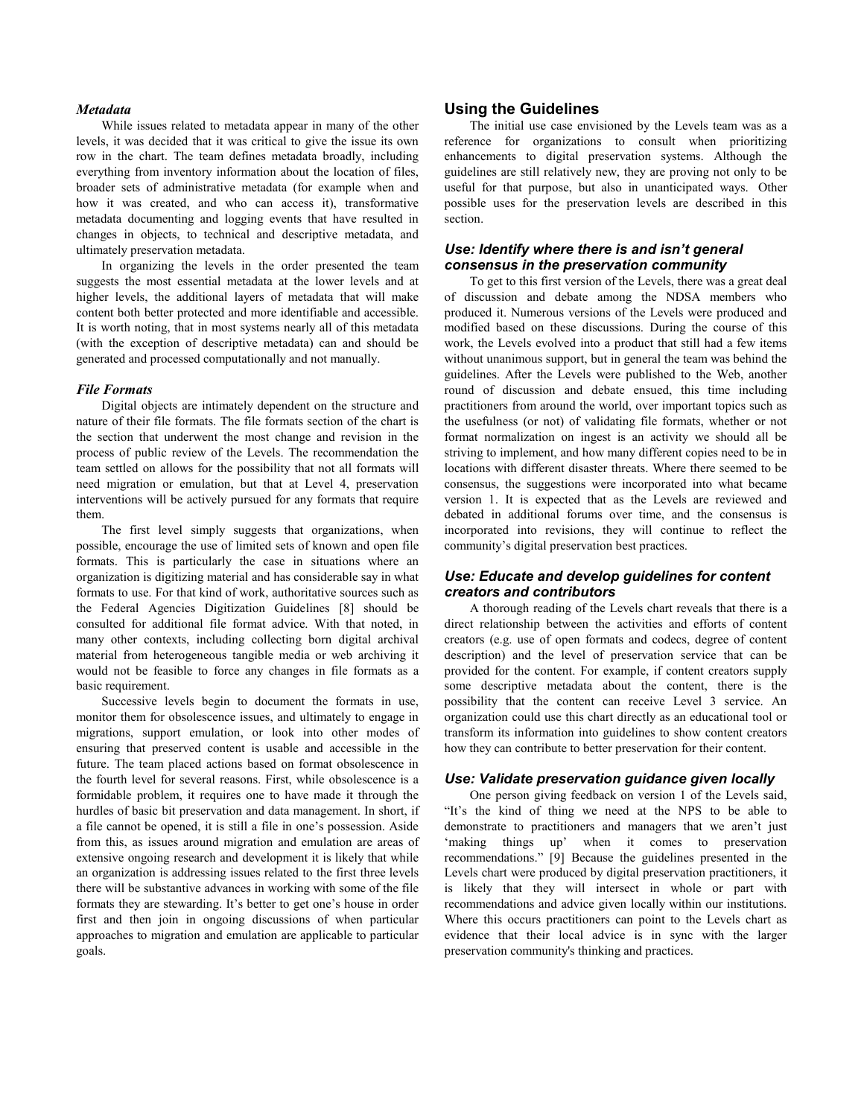## *Metadata*

While issues related to metadata appear in many of the other levels, it was decided that it was critical to give the issue its own row in the chart. The team defines metadata broadly, including everything from inventory information about the location of files, broader sets of administrative metadata (for example when and how it was created, and who can access it), transformative metadata documenting and logging events that have resulted in changes in objects, to technical and descriptive metadata, and ultimately preservation metadata.

In organizing the levels in the order presented the team suggests the most essential metadata at the lower levels and at higher levels, the additional layers of metadata that will make content both better protected and more identifiable and accessible. It is worth noting, that in most systems nearly all of this metadata (with the exception of descriptive metadata) can and should be generated and processed computationally and not manually.

#### *File Formats*

Digital objects are intimately dependent on the structure and nature of their file formats. The file formats section of the chart is the section that underwent the most change and revision in the process of public review of the Levels. The recommendation the team settled on allows for the possibility that not all formats will need migration or emulation, but that at Level 4, preservation interventions will be actively pursued for any formats that require them.

The first level simply suggests that organizations, when possible, encourage the use of limited sets of known and open file formats. This is particularly the case in situations where an organization is digitizing material and has considerable say in what formats to use. For that kind of work, authoritative sources such as the Federal Agencies Digitization Guidelines [8] should be consulted for additional file format advice. With that noted, in many other contexts, including collecting born digital archival material from heterogeneous tangible media or web archiving it would not be feasible to force any changes in file formats as a basic requirement.

Successive levels begin to document the formats in use, monitor them for obsolescence issues, and ultimately to engage in migrations, support emulation, or look into other modes of ensuring that preserved content is usable and accessible in the future. The team placed actions based on format obsolescence in the fourth level for several reasons. First, while obsolescence is a formidable problem, it requires one to have made it through the hurdles of basic bit preservation and data management. In short, if a file cannot be opened, it is still a file in one"s possession. Aside from this, as issues around migration and emulation are areas of extensive ongoing research and development it is likely that while an organization is addressing issues related to the first three levels there will be substantive advances in working with some of the file formats they are stewarding. It's better to get one's house in order first and then join in ongoing discussions of when particular approaches to migration and emulation are applicable to particular goals.

# **Using the Guidelines**

The initial use case envisioned by the Levels team was as a reference for organizations to consult when prioritizing enhancements to digital preservation systems. Although the guidelines are still relatively new, they are proving not only to be useful for that purpose, but also in unanticipated ways. Other possible uses for the preservation levels are described in this section.

## *Use: Identify where there is and isn't general consensus in the preservation community*

To get to this first version of the Levels, there was a great deal of discussion and debate among the NDSA members who produced it. Numerous versions of the Levels were produced and modified based on these discussions. During the course of this work, the Levels evolved into a product that still had a few items without unanimous support, but in general the team was behind the guidelines. After the Levels were published to the Web, another round of discussion and debate ensued, this time including practitioners from around the world, over important topics such as the usefulness (or not) of validating file formats, whether or not format normalization on ingest is an activity we should all be striving to implement, and how many different copies need to be in locations with different disaster threats. Where there seemed to be consensus, the suggestions were incorporated into what became version 1. It is expected that as the Levels are reviewed and debated in additional forums over time, and the consensus is incorporated into revisions, they will continue to reflect the community"s digital preservation best practices.

## *Use: Educate and develop guidelines for content creators and contributors*

A thorough reading of the Levels chart reveals that there is a direct relationship between the activities and efforts of content creators (e.g. use of open formats and codecs, degree of content description) and the level of preservation service that can be provided for the content. For example, if content creators supply some descriptive metadata about the content, there is the possibility that the content can receive Level 3 service. An organization could use this chart directly as an educational tool or transform its information into guidelines to show content creators how they can contribute to better preservation for their content.

#### *Use: Validate preservation guidance given locally*

One person giving feedback on version 1 of the Levels said, "It"s the kind of thing we need at the NPS to be able to demonstrate to practitioners and managers that we aren't just 'making things up' when it comes to preservation recommendations." [9] Because the guidelines presented in the Levels chart were produced by digital preservation practitioners, it is likely that they will intersect in whole or part with recommendations and advice given locally within our institutions. Where this occurs practitioners can point to the Levels chart as evidence that their local advice is in sync with the larger preservation community's thinking and practices.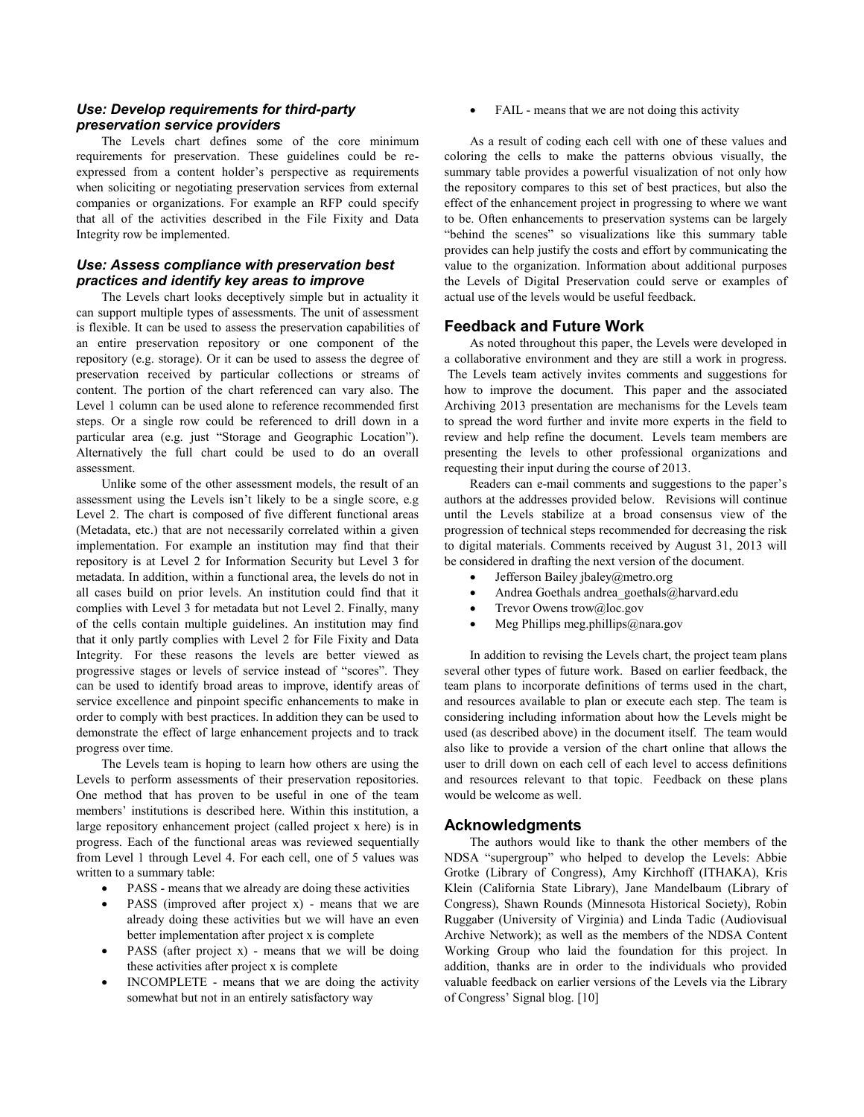# *Use: Develop requirements for third-party preservation service providers*

The Levels chart defines some of the core minimum requirements for preservation. These guidelines could be reexpressed from a content holder's perspective as requirements when soliciting or negotiating preservation services from external companies or organizations. For example an RFP could specify that all of the activities described in the File Fixity and Data Integrity row be implemented.

# *Use: Assess compliance with preservation best practices and identify key areas to improve*

The Levels chart looks deceptively simple but in actuality it can support multiple types of assessments. The unit of assessment is flexible. It can be used to assess the preservation capabilities of an entire preservation repository or one component of the repository (e.g. storage). Or it can be used to assess the degree of preservation received by particular collections or streams of content. The portion of the chart referenced can vary also. The Level 1 column can be used alone to reference recommended first steps. Or a single row could be referenced to drill down in a particular area (e.g. just "Storage and Geographic Location"). Alternatively the full chart could be used to do an overall assessment.

Unlike some of the other assessment models, the result of an assessment using the Levels isn"t likely to be a single score, e.g Level 2. The chart is composed of five different functional areas (Metadata, etc.) that are not necessarily correlated within a given implementation. For example an institution may find that their repository is at Level 2 for Information Security but Level 3 for metadata. In addition, within a functional area, the levels do not in all cases build on prior levels. An institution could find that it complies with Level 3 for metadata but not Level 2. Finally, many of the cells contain multiple guidelines. An institution may find that it only partly complies with Level 2 for File Fixity and Data Integrity. For these reasons the levels are better viewed as progressive stages or levels of service instead of "scores". They can be used to identify broad areas to improve, identify areas of service excellence and pinpoint specific enhancements to make in order to comply with best practices. In addition they can be used to demonstrate the effect of large enhancement projects and to track progress over time.

The Levels team is hoping to learn how others are using the Levels to perform assessments of their preservation repositories. One method that has proven to be useful in one of the team members' institutions is described here. Within this institution, a large repository enhancement project (called project x here) is in progress. Each of the functional areas was reviewed sequentially from Level 1 through Level 4. For each cell, one of 5 values was written to a summary table:

- PASS means that we already are doing these activities
- PASS (improved after project x) means that we are already doing these activities but we will have an even better implementation after project x is complete
- PASS (after project x) means that we will be doing these activities after project x is complete
- INCOMPLETE means that we are doing the activity somewhat but not in an entirely satisfactory way

FAIL - means that we are not doing this activity

As a result of coding each cell with one of these values and coloring the cells to make the patterns obvious visually, the summary table provides a powerful visualization of not only how the repository compares to this set of best practices, but also the effect of the enhancement project in progressing to where we want to be. Often enhancements to preservation systems can be largely "behind the scenes" so visualizations like this summary table provides can help justify the costs and effort by communicating the value to the organization. Information about additional purposes the Levels of Digital Preservation could serve or examples of actual use of the levels would be useful feedback.

## **Feedback and Future Work**

As noted throughout this paper, the Levels were developed in a collaborative environment and they are still a work in progress. The Levels team actively invites comments and suggestions for how to improve the document. This paper and the associated Archiving 2013 presentation are mechanisms for the Levels team to spread the word further and invite more experts in the field to review and help refine the document. Levels team members are presenting the levels to other professional organizations and requesting their input during the course of 2013.

Readers can e-mail comments and suggestions to the paper"s authors at the addresses provided below. Revisions will continue until the Levels stabilize at a broad consensus view of the progression of technical steps recommended for decreasing the risk to digital materials. Comments received by August 31, 2013 will be considered in drafting the next version of the document.

- Jefferson Baile[y jbaley@metro.org](mailto:jbaley@metro.org)
- Andrea Goethals [andrea\\_goethals@harvard.edu](mailto:andrea_goethals@harvard.edu)
- Trevor Owen[s trow@loc.gov](mailto:trow@loc.gov)
- Meg Phillips [meg.phillips@nara.gov](mailto:meg.phillips@nara.gov)

In addition to revising the Levels chart, the project team plans several other types of future work. Based on earlier feedback, the team plans to incorporate definitions of terms used in the chart, and resources available to plan or execute each step. The team is considering including information about how the Levels might be used (as described above) in the document itself. The team would also like to provide a version of the chart online that allows the user to drill down on each cell of each level to access definitions and resources relevant to that topic. Feedback on these plans would be welcome as well.

## **Acknowledgments**

The authors would like to thank the other members of the NDSA "supergroup" who helped to develop the Levels: Abbie Grotke (Library of Congress), Amy Kirchhoff (ITHAKA), Kris Klein (California State Library), Jane Mandelbaum (Library of Congress), Shawn Rounds (Minnesota Historical Society), Robin Ruggaber (University of Virginia) and Linda Tadic (Audiovisual Archive Network); as well as the members of the NDSA Content Working Group who laid the foundation for this project. In addition, thanks are in order to the individuals who provided valuable feedback on earlier versions of the Levels via the Library of Congress" Signal blog. [10]